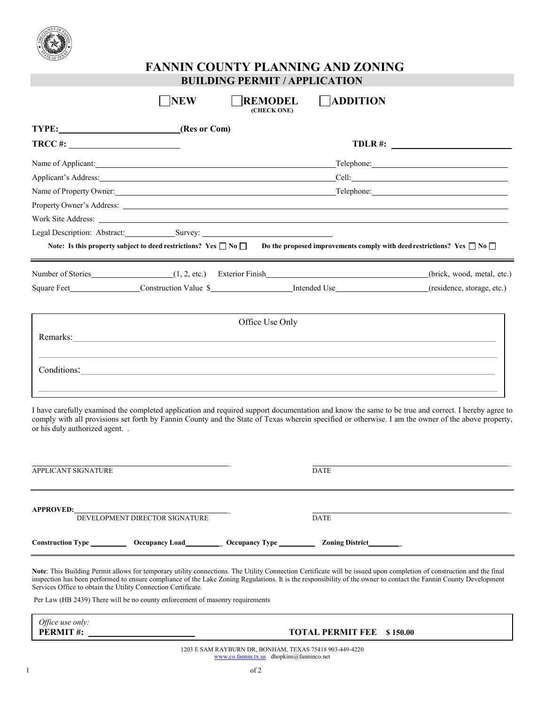

## **FANNIN COUNTY PLANNING AND ZONING BUILDING PERMIT / APPLICATION**

| TYPE: (Res or Com)                                                                                                                                                                                                             |  |                 |                                                                                                                                                            |
|--------------------------------------------------------------------------------------------------------------------------------------------------------------------------------------------------------------------------------|--|-----------------|------------------------------------------------------------------------------------------------------------------------------------------------------------|
| $TRCC \#:$                                                                                                                                                                                                                     |  |                 | $TDLR$ #: $\qquad \qquad$                                                                                                                                  |
| Name of Applicant:                                                                                                                                                                                                             |  |                 |                                                                                                                                                            |
|                                                                                                                                                                                                                                |  |                 |                                                                                                                                                            |
|                                                                                                                                                                                                                                |  |                 |                                                                                                                                                            |
|                                                                                                                                                                                                                                |  |                 |                                                                                                                                                            |
|                                                                                                                                                                                                                                |  |                 |                                                                                                                                                            |
|                                                                                                                                                                                                                                |  |                 |                                                                                                                                                            |
|                                                                                                                                                                                                                                |  |                 | Note: Is this property subject to deed restrictions? Yes $\Box$ No $\Box$ Do the proposed improvements comply with deed restrictions? Yes $\Box$ No $\Box$ |
| Number of Stories (1, 2, etc.) Exterior Finish                                                                                                                                                                                 |  |                 | (brick, wood, metal, etc.)                                                                                                                                 |
|                                                                                                                                                                                                                                |  |                 |                                                                                                                                                            |
|                                                                                                                                                                                                                                |  | Office Use Only |                                                                                                                                                            |
|                                                                                                                                                                                                                                |  |                 |                                                                                                                                                            |
| Remarks: <u>Contract Communication</u> Contract Communication Communication Communication Communication Communication                                                                                                          |  |                 |                                                                                                                                                            |
| Conditions: Note that the conditions of the conditions of the conditions of the conditions of the conditions of the conditions of the conditions of the conditions of the conditions of the conditions of the conditions of th |  |                 |                                                                                                                                                            |

| APPLICANT SIGNATURE                                                                     | DATE                        |
|-----------------------------------------------------------------------------------------|-----------------------------|
| <b>APPROVED:</b><br>DEVELOPMENT DIRECTOR SIGNATURE                                      | <b>DATE</b>                 |
| Construction Type ______________ Occupancy Load_____________ Occupancy Type ___________ | <b>Zoning District</b> 2001 |

**Note**: This Building Permit allows for temporary utility connections. The Utility Connection Certificate will be issued upon completion of construction and the final inspection has been performed to ensure compliance of the Lake Zoning Regulations. It is the responsibility of the owner to contact the Fannin County Development Services Office to obtain the Utility Connection Certificate.

Per Law (HB 2439) There will be no county enforcement of masonry requirements

*Office use only:* **PERMIT #:** 

## **TOTAL PERMIT FEE \$ 150.00**

1203 E SAM RAYBURN DR, BONHAM, TEXAS 75418 903-449-4220 [www.co.fannin.tx.us](http://www.co.fannin.tx.us/) [dhopkins@fanninco.net](mailto:dhopkins@fanninco.net)